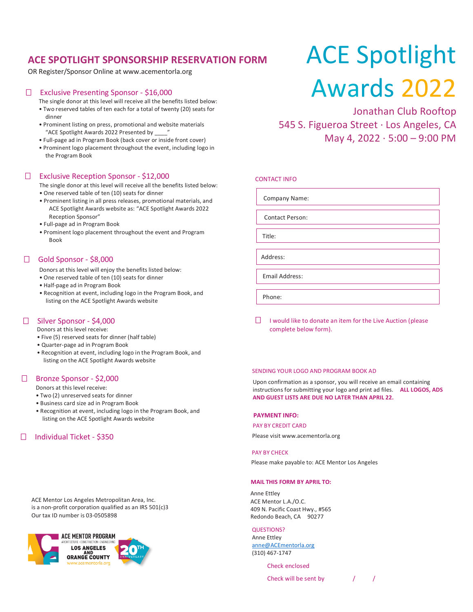# **ACE SPOTLIGHT SPONSORSHIP RESERVATION FORM**

OR Register/Sponsor Online at www.acementorla.org

## Exclusive Presenting Sponsor - \$16,000

The single donor at this level will receive all the benefits listed below:

- Two reserved tables of ten each for a total of twenty (20) seats for dinner
- Prominent listing on press, promotional and website materials "ACE Spotlight Awards 2022 Presented by \_\_\_\_"
- Full-page ad in Program Book (back cover or inside front cover)
- Prominent logo placement throughout the event, including logo in the Program Book

### Exclusive Reception Sponsor - \$12,000

The single donor at this level will receive all the benefits listed below:

- One reserved table of ten (10) seats for dinner
- Prominent listing in all press releases, promotional materials, and ACE Spotlight Awards website as: "ACE Spotlight Awards 2022 Reception Sponsor"
- Full-page ad in Program Book
- Prominent logo placement throughout the event and Program Book

# $\Box$  Gold Sponsor - \$8,000

Donors at this level will enjoy the benefits listed below:

- One reserved table of ten (10) seats for dinner
- Half-page ad in Program Book
- Recognition at event, including logo in the Program Book, and listing on the ACE Spotlight Awards website

## □ Silver Sponsor - \$4,000

Donors at this level receive:

- Five (5) reserved seats for dinner (half table)
- Quarter-page ad in Program Book
- Recognition at event, including logo in the Program Book, and listing on the ACE Spotlight Awards website

#### □ Bronze Sponsor - \$2,000

Donors at this level receive:

- Two (2) unreserved seats for dinner
- Business card size ad in Program Book
- Recognition at event, including logo in the Program Book, and listing on the ACE Spotlight Awards website

## □ Individual Ticket - \$350

ACE Mentor Los Angeles Metropolitan Area, Inc. is a non-profit corporation qualified as an IRS 501(c)3 Our tax ID number is 03-0505898



# ACE Spotlight Awards 2022

Jonathan Club Rooftop 545 S. Figueroa Street ∙ Los Angeles, CA May 4, 2022 ∙ 5:00 – 9:00 PM

#### CONTACT INFO

Company Name:

Contact Person:

Title:

Email Address:

Phone:

 $\Box$  I would like to donate an item for the Live Auction (please complete below form).

#### SENDING YOUR LOGO AND PROGRAM BOOK AD

Upon confirmation as a sponsor, you will receive an email containing instructions for submitting your logo and print ad files. **ALL LOGOS, ADS AND GUEST LISTS ARE DUE NO LATER THAN APRIL 22.**

#### **PAYMENT INFO:**

#### PAY BY CREDIT CARD

Please visit www.acementorla.org

#### PAY BY CHECK

Please make payable to: ACE Mentor Los Angeles

#### **MAIL THIS FORM BY APRIL TO:**

Anne Ettley ACE Mentor L.A./O.C. 409 N. Pacific Coast Hwy., #565 Redondo Beach, CA 90277

QUESTIONS? Anne Ettley [anne@ACEmentorla.org](mailto:anne@ACEmentorla.org) (310) 467-1747

Check enclosed

Check will be sent by  $/$  /